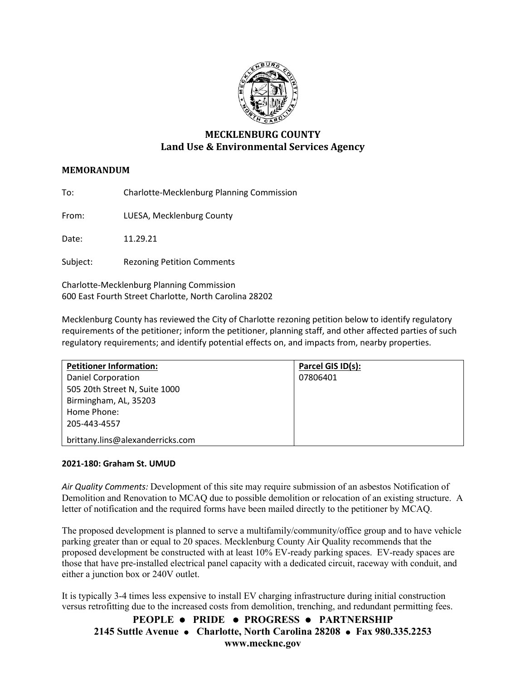

# **MECKLENBURG COUNTY Land Use & Environmental Services Agency**

# **MEMORANDUM**

To: Charlotte-Mecklenburg Planning Commission

From: LUESA, Mecklenburg County

Date: 11.29.21

Subject: Rezoning Petition Comments

Charlotte-Mecklenburg Planning Commission 600 East Fourth Street Charlotte, North Carolina 28202

Mecklenburg County has reviewed the City of Charlotte rezoning petition below to identify regulatory requirements of the petitioner; inform the petitioner, planning staff, and other affected parties of such regulatory requirements; and identify potential effects on, and impacts from, nearby properties.

| <b>Petitioner Information:</b>   | Parcel GIS ID(s): |
|----------------------------------|-------------------|
| Daniel Corporation               | 07806401          |
| 505 20th Street N, Suite 1000    |                   |
| Birmingham, AL, 35203            |                   |
| Home Phone:                      |                   |
| 205-443-4557                     |                   |
| brittany.lins@alexanderricks.com |                   |

## **2021-180: Graham St. UMUD**

*Air Quality Comments:* Development of this site may require submission of an asbestos Notification of Demolition and Renovation to MCAQ due to possible demolition or relocation of an existing structure. A letter of notification and the required forms have been mailed directly to the petitioner by MCAQ.

The proposed development is planned to serve a multifamily/community/office group and to have vehicle parking greater than or equal to 20 spaces. Mecklenburg County Air Quality recommends that the proposed development be constructed with at least 10% EV-ready parking spaces. EV-ready spaces are those that have pre-installed electrical panel capacity with a dedicated circuit, raceway with conduit, and either a junction box or 240V outlet.

It is typically 3-4 times less expensive to install EV charging infrastructure during initial construction versus retrofitting due to the increased costs from demolition, trenching, and redundant permitting fees.

**PEOPLE PRIDE PROGRESS PARTNERSHIP 2145 Suttle Avenue Charlotte, North Carolina 28208 Fax 980.335.2253 www.mecknc.gov**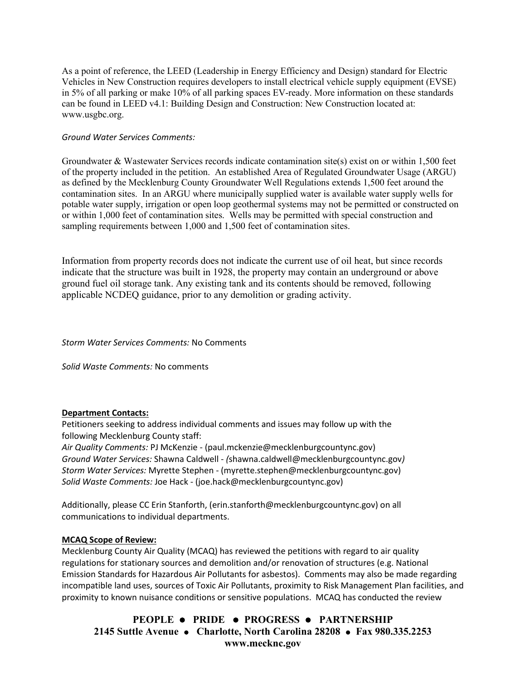As a point of reference, the LEED (Leadership in Energy Efficiency and Design) standard for Electric Vehicles in New Construction requires developers to install electrical vehicle supply equipment (EVSE) in 5% of all parking or make 10% of all parking spaces EV-ready. More information on these standards can be found in LEED v4.1: Building Design and Construction: New Construction located at: [www.usgbc.org.](http://www.usgbc.org/)

# *Ground Water Services Comments:*

Groundwater & Wastewater Services records indicate contamination site(s) exist on or within 1,500 feet of the property included in the petition. An established Area of Regulated Groundwater Usage (ARGU) as defined by the Mecklenburg County Groundwater Well Regulations extends 1,500 feet around the contamination sites. In an ARGU where municipally supplied water is available water supply wells for potable water supply, irrigation or open loop geothermal systems may not be permitted or constructed on or within 1,000 feet of contamination sites. Wells may be permitted with special construction and sampling requirements between 1,000 and 1,500 feet of contamination sites.

Information from property records does not indicate the current use of oil heat, but since records indicate that the structure was built in 1928, the property may contain an underground or above ground fuel oil storage tank. Any existing tank and its contents should be removed, following applicable NCDEQ guidance, prior to any demolition or grading activity.

*Storm Water Services Comments:* No Comments

*Solid Waste Comments:* No comments

## **Department Contacts:**

Petitioners seeking to address individual comments and issues may follow up with the following Mecklenburg County staff:

*Air Quality Comments:* PJ McKenzie - (paul.mckenzie@mecklenburgcountync.gov) *Ground Water Services:* Shawna Caldwell - *(*shawna.caldwell@mecklenburgcountync.gov*) Storm Water Services:* Myrette Stephen - (myrette.stephen@mecklenburgcountync.gov) *Solid Waste Comments:* Joe Hack - (joe.hack@mecklenburgcountync.gov)

Additionally, please CC Erin Stanforth, (erin.stanforth@mecklenburgcountync.gov) on all communications to individual departments.

## **MCAQ Scope of Review:**

Mecklenburg County Air Quality (MCAQ) has reviewed the petitions with regard to air quality regulations for stationary sources and demolition and/or renovation of structures (e.g. National Emission Standards for Hazardous Air Pollutants for asbestos). Comments may also be made regarding incompatible land uses, sources of Toxic Air Pollutants, proximity to Risk Management Plan facilities, and proximity to known nuisance conditions or sensitive populations. MCAQ has conducted the review

**PEOPLE PRIDE PROGRESS PARTNERSHIP 2145 Suttle Avenue Charlotte, North Carolina 28208 Fax 980.335.2253 www.mecknc.gov**